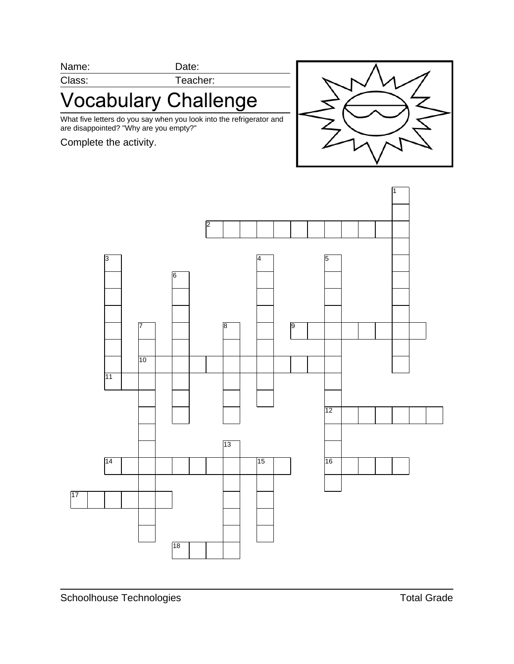|  | vame |  |
|--|------|--|
|  |      |  |

Date:

Class: Teacher:

## **Vocabulary Challenge**

What five letters do you say when you look into the refrigerator and are disappointed? "Why are you empty?"

## Complete the activity.